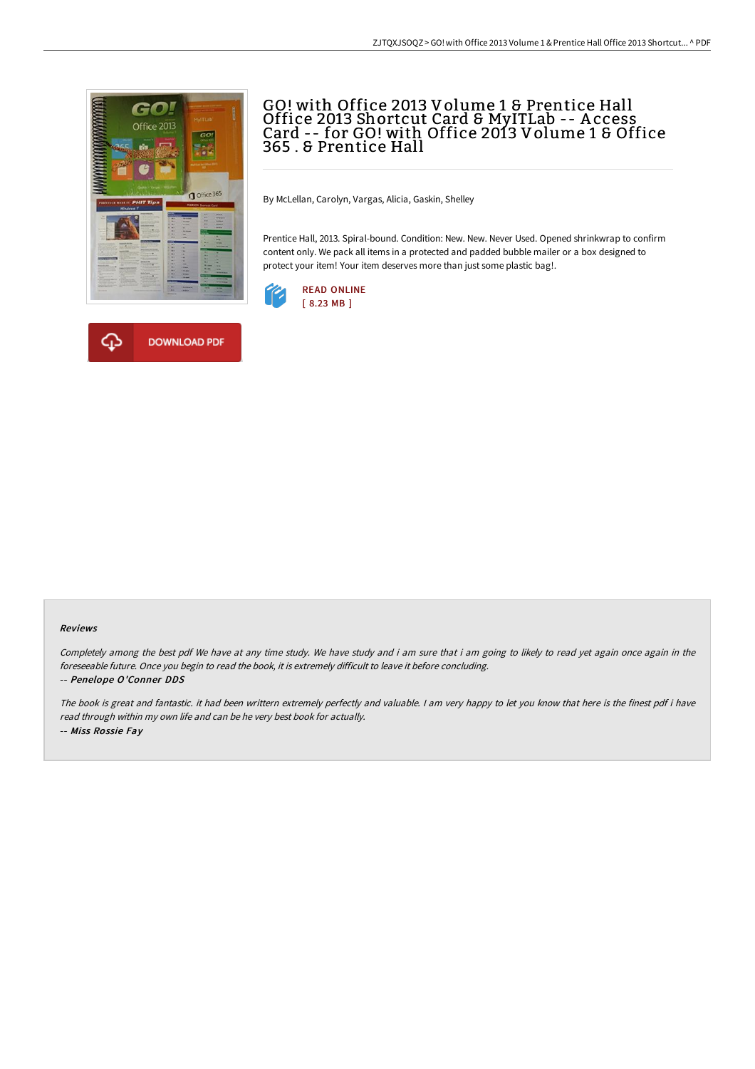

**DOWNLOAD PDF** 

♤



By McLellan, Carolyn, Vargas, Alicia, Gaskin, Shelley

Prentice Hall, 2013. Spiral-bound. Condition: New. New. Never Used. Opened shrinkwrap to confirm content only. We pack all items in a protected and padded bubble mailer or a box designed to protect your item! Your item deserves more than just some plastic bag!.



## Reviews

Completely among the best pdf We have at any time study. We have study and i am sure that i am going to likely to read yet again once again in the foreseeable future. Once you begin to read the book, it is extremely difficult to leave it before concluding.

-- Penelope O'Conner DDS

The book is great and fantastic. it had been writtern extremely perfectly and valuable. <sup>I</sup> am very happy to let you know that here is the finest pdf i have read through within my own life and can be he very best book for actually. -- Miss Rossie Fay